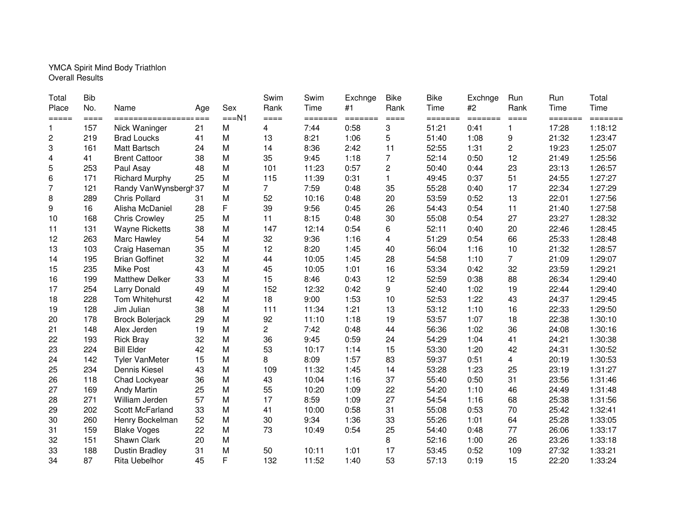## YMCA Spirit Mind Body Triathlon Overall Results

| Total<br>Place  | <b>Bib</b><br>No. | Name                   | Age | Sex    | Swim<br>Rank | Swim<br>Time | Exchnge<br>#1           | <b>Bike</b><br>Rank | <b>Bike</b><br>Time | Exchnge<br>#2 | Run<br>Rank     | Run<br>Time | Total<br>Time |
|-----------------|-------------------|------------------------|-----|--------|--------------|--------------|-------------------------|---------------------|---------------------|---------------|-----------------|-------------|---------------|
| $=$ $=$ $=$ $=$ | $== ==$           | ================       |     | $==N1$ | $====$       | =======      | $=$ $=$ $=$ $=$ $=$ $=$ | $=$ $=$ $=$         | =======             | =======       | $=$ $=$ $=$ $=$ | =======     | =======       |
| $\mathbf{1}$    | 157               | Nick Waninger          | 21  | M      | 4            | 7:44         | 0:58                    | 3                   | 51:21               | 0:41          |                 | 17:28       | 1:18:12       |
| $\overline{c}$  | 219               | <b>Brad Loucks</b>     | 41  | M      | 13           | 8:21         | 1:06                    | 5                   | 51:40               | 1:08          | 9               | 21:32       | 1:23:47       |
| 3               | 161               | Matt Bartsch           | 24  | M      | 14           | 8:36         | 2:42                    | 11                  | 52:55               | 1:31          | 2               | 19:23       | 1:25:07       |
| 4               | 41                | <b>Brent Cattoor</b>   | 38  | M      | 35           | 9:45         | 1:18                    | 7                   | 52:14               | 0:50          | 12              | 21:49       | 1:25:56       |
| 5               | 253               | Paul Asay              | 48  | M      | 101          | 11:23        | 0:57                    | $\mathbf{2}$        | 50:40               | 0:44          | 23              | 23:13       | 1:26:57       |
| 6               | 171               | <b>Richard Murphy</b>  | 25  | M      | 115          | 11:39        | 0:31                    | $\mathbf{1}$        | 49:45               | 0:37          | 51              | 24:55       | 1:27:27       |
| 7               | 121               | Randy VanWynsbergh37   |     | M      | 7            | 7:59         | 0:48                    | 35                  | 55:28               | 0:40          | 17              | 22:34       | 1:27:29       |
| 8               | 289               | <b>Chris Pollard</b>   | 31  | M      | 52           | 10:16        | 0:48                    | 20                  | 53:59               | 0:52          | 13              | 22:01       | 1:27:56       |
| 9               | 16                | Alisha McDaniel        | 28  | F      | 39           | 9:56         | 0:45                    | 26                  | 54:43               | 0:54          | 11              | 21:40       | 1:27:58       |
| 10              | 168               | <b>Chris Crowley</b>   | 25  | M      | 11           | 8:15         | 0:48                    | 30                  | 55:08               | 0:54          | 27              | 23:27       | 1:28:32       |
| 11              | 131               | <b>Wayne Ricketts</b>  | 38  | M      | 147          | 12:14        | 0:54                    | 6                   | 52:11               | 0:40          | 20              | 22:46       | 1:28:45       |
| 12              | 263               | Marc Hawley            | 54  | M      | 32           | 9:36         | 1:16                    | $\overline{4}$      | 51:29               | 0:54          | 66              | 25:33       | 1:28:48       |
| 13              | 103               | Craig Haseman          | 35  | M      | 12           | 8:20         | 1:45                    | 40                  | 56:04               | 1:16          | 10              | 21:32       | 1:28:57       |
| 14              | 195               | <b>Brian Goffinet</b>  | 32  | M      | 44           | 10:05        | 1:45                    | 28                  | 54:58               | 1:10          | 7               | 21:09       | 1:29:07       |
| 15              | 235               | <b>Mike Post</b>       | 43  | M      | 45           | 10:05        | 1:01                    | 16                  | 53:34               | 0:42          | 32              | 23:59       | 1:29:21       |
| 16              | 199               | <b>Matthew Delker</b>  | 33  | M      | 15           | 8:46         | 0:43                    | 12                  | 52:59               | 0:38          | 88              | 26:34       | 1:29:40       |
| 17              | 254               | <b>Larry Donald</b>    | 49  | M      | 152          | 12:32        | 0:42                    | 9                   | 52:40               | 1:02          | 19              | 22:44       | 1:29:40       |
| 18              | 228               | Tom Whitehurst         | 42  | M      | 18           | 9:00         | 1:53                    | 10                  | 52:53               | 1:22          | 43              | 24:37       | 1:29:45       |
| 19              | 128               | Jim Julian             | 38  | M      | 111          | 11:34        | 1:21                    | 13                  | 53:12               | 1:10          | 16              | 22:33       | 1:29:50       |
| 20              | 178               | <b>Brock Bolerjack</b> | 29  | M      | 92           | 11:10        | 1:18                    | 19                  | 53:57               | 1:07          | 18              | 22:38       | 1:30:10       |
| 21              | 148               | Alex Jerden            | 19  | M      | 2            | 7:42         | 0:48                    | 44                  | 56:36               | 1:02          | 36              | 24:08       | 1:30:16       |
| 22              | 193               | <b>Rick Bray</b>       | 32  | M      | 36           | 9:45         | 0:59                    | 24                  | 54:29               | 1:04          | 41              | 24:21       | 1:30:38       |
| 23              | 224               | <b>Bill Elder</b>      | 42  | M      | 53           | 10:17        | 1:14                    | 15                  | 53:30               | 1:20          | 42              | 24:31       | 1:30:52       |
| 24              | 142               | <b>Tyler VanMeter</b>  | 15  | M      | 8            | 8:09         | 1:57                    | 83                  | 59:37               | 0:51          | 4               | 20:19       | 1:30:53       |
| 25              | 234               | Dennis Kiesel          | 43  | M      | 109          | 11:32        | 1:45                    | 14                  | 53:28               | 1:23          | 25              | 23:19       | 1:31:27       |
| 26              | 118               | Chad Lockyear          | 36  | M      | 43           | 10:04        | 1:16                    | 37                  | 55:40               | 0:50          | 31              | 23:56       | 1:31:46       |
| 27              | 169               | <b>Andy Martin</b>     | 25  | M      | 55           | 10:20        | 1:09                    | 22                  | 54:20               | 1:10          | 46              | 24:49       | 1:31:48       |
| 28              | 271               | William Jerden         | 57  | M      | 17           | 8:59         | 1:09                    | 27                  | 54:54               | 1:16          | 68              | 25:38       | 1:31:56       |
| 29              | 202               | Scott McFarland        | 33  | M      | 41           | 10:00        | 0:58                    | 31                  | 55:08               | 0:53          | 70              | 25:42       | 1:32:41       |
| 30              | 260               | Henry Bockelman        | 52  | M      | 30           | 9:34         | 1:36                    | 33                  | 55:26               | 1:01          | 64              | 25:28       | 1:33:05       |
| 31              | 159               | <b>Blake Voges</b>     | 22  | M      | 73           | 10:49        | 0:54                    | 25                  | 54:40               | 0:48          | 77              | 26:06       | 1:33:17       |
| 32              | 151               | Shawn Clark            | 20  | M      |              |              |                         | 8                   | 52:16               | 1:00          | 26              | 23:26       | 1:33:18       |
| 33              | 188               | <b>Dustin Bradley</b>  | 31  | M      | 50           | 10:11        | 1:01                    | 17                  | 53:45               | 0:52          | 109             | 27:32       | 1:33:21       |
| 34              | 87                | <b>Rita Uebelhor</b>   | 45  | F      | 132          | 11:52        | 1:40                    | 53                  | 57:13               | 0:19          | 15              | 22:20       | 1:33:24       |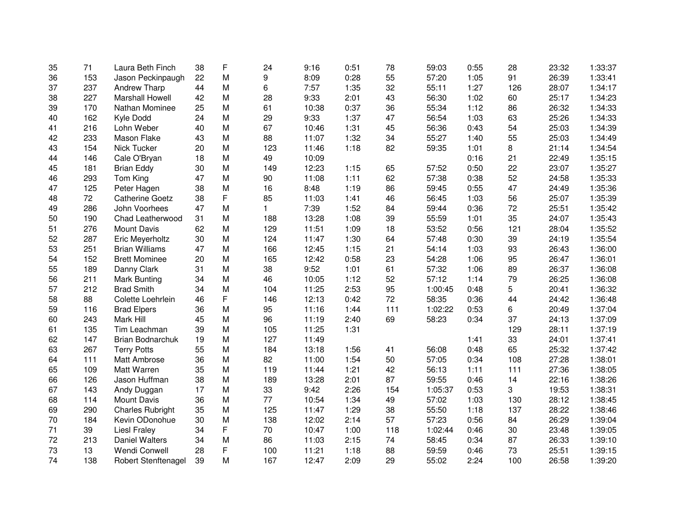| 35 | 71  | Laura Beth Finch        | 38 | F | 24  | 9:16  | 0:51 | 78    | 59:03   | 0:55 | 28  | 23:32 | 1:33:37 |
|----|-----|-------------------------|----|---|-----|-------|------|-------|---------|------|-----|-------|---------|
| 36 | 153 | Jason Peckinpaugh       | 22 | M | 9   | 8:09  | 0:28 | 55    | 57:20   | 1:05 | 91  | 26:39 | 1:33:41 |
| 37 | 237 | <b>Andrew Tharp</b>     | 44 | М | 6   | 7:57  | 1:35 | 32    | 55:11   | 1:27 | 126 | 28:07 | 1:34:17 |
| 38 | 227 | <b>Marshall Howell</b>  | 42 | M | 28  | 9:33  | 2:01 | 43    | 56:30   | 1:02 | 60  | 25:17 | 1:34:23 |
| 39 | 170 | Nathan Mominee          | 25 | M | 61  | 10:38 | 0:37 | 36    | 55:34   | 1:12 | 86  | 26:32 | 1:34:33 |
| 40 | 162 | Kyle Dodd               | 24 | M | 29  | 9:33  | 1:37 | 47    | 56:54   | 1:03 | 63  | 25:26 | 1:34:33 |
| 41 | 216 | Lohn Weber              | 40 | M | 67  | 10:46 | 1:31 | 45    | 56:36   | 0:43 | 54  | 25:03 | 1:34:39 |
| 42 | 233 | Mason Flake             | 43 | M | 88  | 11:07 | 1:32 | 34    | 55:27   | 1:40 | 55  | 25:03 | 1:34:49 |
| 43 | 154 | Nick Tucker             | 20 | M | 123 | 11:46 | 1:18 | 82    | 59:35   | 1:01 | 8   | 21:14 | 1:34:54 |
| 44 | 146 | Cale O'Bryan            | 18 | M | 49  | 10:09 |      |       |         | 0:16 | 21  | 22:49 | 1:35:15 |
| 45 | 181 | <b>Brian Eddy</b>       | 30 | M | 149 | 12:23 | 1:15 | 65    | 57:52   | 0:50 | 22  | 23:07 | 1:35:27 |
| 46 | 293 | Tom King                | 47 | M | 90  | 11:08 | 1:11 | 62    | 57:38   | 0:38 | 52  | 24:58 | 1:35:33 |
| 47 | 125 | Peter Hagen             | 38 | M | 16  | 8:48  | 1:19 | 86    | 59:45   | 0:55 | 47  | 24:49 | 1:35:36 |
| 48 | 72  | <b>Catherine Goetz</b>  | 38 | F | 85  | 11:03 | 1:41 | 46    | 56:45   | 1:03 | 56  | 25:07 | 1:35:39 |
| 49 | 286 | John Voorhees           | 47 | M | 1   | 7:39  | 1:52 | 84    | 59:44   | 0:36 | 72  | 25:51 | 1:35:42 |
| 50 | 190 | Chad Leatherwood        | 31 | M | 188 | 13:28 | 1:08 | 39    | 55:59   | 1:01 | 35  | 24:07 | 1:35:43 |
| 51 | 276 | Mount Davis             | 62 | M | 129 | 11:51 | 1:09 | 18    | 53:52   | 0:56 | 121 | 28:04 | 1:35:52 |
| 52 | 287 | Eric Meyerholtz         | 30 | M | 124 | 11:47 | 1:30 | 64    | 57:48   | 0:30 | 39  | 24:19 | 1:35:54 |
| 53 | 251 | <b>Brian Williams</b>   | 47 | M | 166 | 12:45 | 1:15 | 21    | 54:14   | 1:03 | 93  | 26:43 | 1:36:00 |
| 54 | 152 | <b>Brett Mominee</b>    | 20 | M | 165 | 12:42 | 0:58 | 23    | 54:28   | 1:06 | 95  | 26:47 | 1:36:01 |
| 55 | 189 | Danny Clark             | 31 | M | 38  | 9:52  | 1:01 | 61    | 57:32   | 1:06 | 89  | 26:37 | 1:36:08 |
| 56 | 211 | <b>Mark Bunting</b>     | 34 | M | 46  | 10:05 | 1:12 | 52    | 57:12   | 1:14 | 79  | 26:25 | 1:36:08 |
| 57 | 212 | <b>Brad Smith</b>       | 34 | M | 104 | 11:25 | 2:53 | 95    | 1:00:45 | 0:48 | 5   | 20:41 | 1:36:32 |
| 58 | 88  | Colette Loehrlein       | 46 | F | 146 | 12:13 | 0:42 | 72    | 58:35   | 0:36 | 44  | 24:42 | 1:36:48 |
| 59 | 116 | <b>Brad Elpers</b>      | 36 | M | 95  | 11:16 | 1:44 | $111$ | 1:02:22 | 0:53 | 6   | 20:49 | 1:37:04 |
| 60 | 243 | Mark Hill               | 45 | M | 96  | 11:19 | 2:40 | 69    | 58:23   | 0:34 | 37  | 24:13 | 1:37:09 |
| 61 | 135 | Tim Leachman            | 39 | M | 105 | 11:25 | 1:31 |       |         |      | 129 | 28:11 | 1:37:19 |
| 62 | 147 | Brian Bodnarchuk        | 19 | M | 127 | 11:49 |      |       |         | 1:41 | 33  | 24:01 | 1:37:41 |
| 63 | 267 | <b>Terry Potts</b>      | 55 | M | 184 | 13:18 | 1:56 | 41    | 56:08   | 0:48 | 65  | 25:32 | 1:37:42 |
| 64 | 111 | Matt Ambrose            | 36 | M | 82  | 11:00 | 1:54 | 50    | 57:05   | 0:34 | 108 | 27:28 | 1:38:01 |
| 65 | 109 | Matt Warren             | 35 | M | 119 | 11:44 | 1:21 | 42    | 56:13   | 1:11 | 111 | 27:36 | 1:38:05 |
| 66 | 126 | Jason Huffman           | 38 | M | 189 | 13:28 | 2:01 | 87    | 59:55   | 0:46 | 14  | 22:16 | 1:38:26 |
| 67 | 143 | Andy Duggan             | 17 | M | 33  | 9:42  | 2:26 | 154   | 1:05:37 | 0:53 | 3   | 19:53 | 1:38:31 |
| 68 | 114 | Mount Davis             | 36 | M | 77  | 10:54 | 1:34 | 49    | 57:02   | 1:03 | 130 | 28:12 | 1:38:45 |
| 69 | 290 | <b>Charles Rubright</b> | 35 | M | 125 | 11:47 | 1:29 | 38    | 55:50   | 1:18 | 137 | 28:22 | 1:38:46 |
| 70 | 184 | Kevin ODonohue          | 30 | M | 138 | 12:02 | 2:14 | 57    | 57:23   | 0:56 | 84  | 26:29 | 1:39:04 |
| 71 | 39  | <b>Liesl Fraley</b>     | 34 | F | 70  | 10:47 | 1:00 | 118   | 1:02:44 | 0:46 | 30  | 23:48 | 1:39:05 |
| 72 | 213 | <b>Daniel Walters</b>   | 34 | M | 86  | 11:03 | 2:15 | 74    | 58:45   | 0:34 | 87  | 26:33 | 1:39:10 |
| 73 | 13  | Wendi Conwell           | 28 | F | 100 | 11:21 | 1:18 | 88    | 59:59   | 0:46 | 73  | 25:51 | 1:39:15 |
| 74 | 138 | Robert Stenftenagel     | 39 | M | 167 | 12:47 | 2:09 | 29    | 55:02   | 2:24 | 100 | 26:58 | 1:39:20 |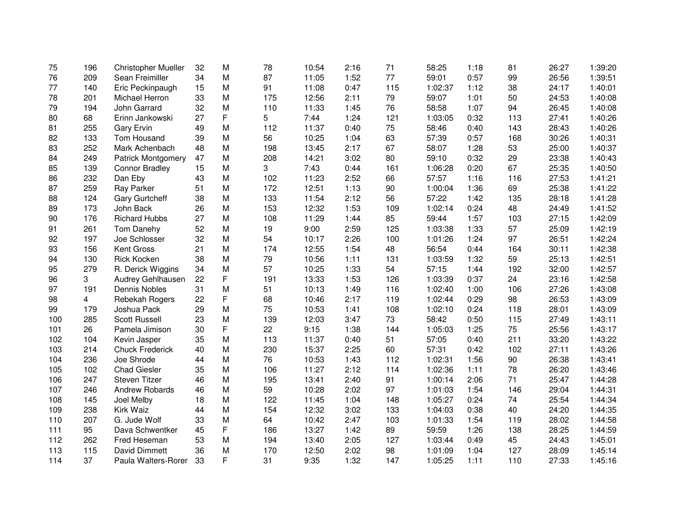| 75  | 196 | <b>Christopher Mueller</b> | 32 | M | 78  | 10:54 | 2:16 | 71  | 58:25   | 1:18 | 81  | 26:27 | 1:39:20 |
|-----|-----|----------------------------|----|---|-----|-------|------|-----|---------|------|-----|-------|---------|
| 76  | 209 | Sean Freimiller            | 34 | M | 87  | 11:05 | 1:52 | 77  | 59:01   | 0:57 | 99  | 26:56 | 1:39:51 |
| 77  | 140 | Eric Peckinpaugh           | 15 | M | 91  | 11:08 | 0:47 | 115 | 1:02:37 | 1:12 | 38  | 24:17 | 1:40:01 |
| 78  | 201 | Michael Herron             | 33 | M | 175 | 12:56 | 2:11 | 79  | 59:07   | 1:01 | 50  | 24:53 | 1:40:08 |
| 79  | 194 | John Garrard               | 32 | M | 110 | 11:33 | 1:45 | 76  | 58:58   | 1:07 | 94  | 26:45 | 1:40:08 |
| 80  | 68  | Erinn Jankowski            | 27 | F | 5   | 7:44  | 1:24 | 121 | 1:03:05 | 0:32 | 113 | 27:41 | 1:40:26 |
| 81  | 255 | Gary Ervin                 | 49 | M | 112 | 11:37 | 0:40 | 75  | 58:46   | 0:40 | 143 | 28:43 | 1:40:26 |
| 82  | 133 | Tom Housand                | 39 | M | 56  | 10:25 | 1:04 | 63  | 57:39   | 0:57 | 168 | 30:26 | 1:40:31 |
| 83  | 252 | Mark Achenbach             | 48 | M | 198 | 13:45 | 2:17 | 67  | 58:07   | 1:28 | 53  | 25:00 | 1:40:37 |
| 84  | 249 | <b>Patrick Montgomery</b>  | 47 | M | 208 | 14:21 | 3:02 | 80  | 59:10   | 0:32 | 29  | 23:38 | 1:40:43 |
| 85  | 139 | <b>Connor Bradley</b>      | 15 | M | 3   | 7:43  | 0:44 | 161 | 1:06:28 | 0:20 | 67  | 25:35 | 1:40:50 |
| 86  | 232 | Dan Eby                    | 43 | M | 102 | 11:23 | 2:52 | 66  | 57:57   | 1:16 | 116 | 27:53 | 1:41:21 |
| 87  | 259 | Ray Parker                 | 51 | M | 172 | 12:51 | 1:13 | 90  | 1:00:04 | 1:36 | 69  | 25:38 | 1:41:22 |
| 88  | 124 | <b>Gary Gurtcheff</b>      | 38 | M | 133 | 11:54 | 2:12 | 56  | 57:22   | 1:42 | 135 | 28:18 | 1:41:28 |
| 89  | 173 | John Back                  | 26 | M | 153 | 12:32 | 1:53 | 109 | 1:02:14 | 0:24 | 48  | 24:49 | 1:41:52 |
| 90  | 176 | <b>Richard Hubbs</b>       | 27 | M | 108 | 11:29 | 1:44 | 85  | 59:44   | 1:57 | 103 | 27:15 | 1:42:09 |
| 91  | 261 | Tom Danehy                 | 52 | M | 19  | 9:00  | 2:59 | 125 | 1:03:38 | 1:33 | 57  | 25:09 | 1:42:19 |
| 92  | 197 | Joe Schlosser              | 32 | M | 54  | 10:17 | 2:26 | 100 | 1:01:26 | 1:24 | 97  | 26:51 | 1:42:24 |
| 93  | 156 | <b>Kent Gross</b>          | 21 | M | 174 | 12:55 | 1:54 | 48  | 56:54   | 0:44 | 164 | 30:11 | 1:42:38 |
| 94  | 130 | Rick Kocken                | 38 | M | 79  | 10:56 | 1:11 | 131 | 1:03:59 | 1:32 | 59  | 25:13 | 1:42:51 |
| 95  | 279 | R. Derick Wiggins          | 34 | M | 57  | 10:25 | 1:33 | 54  | 57:15   | 1:44 | 192 | 32:00 | 1:42:57 |
| 96  | 3   | Audrey Gehlhausen          | 22 | F | 191 | 13:33 | 1:53 | 126 | 1:03:39 | 0:37 | 24  | 23:16 | 1:42:58 |
| 97  | 191 | Dennis Nobles              | 31 | M | 51  | 10:13 | 1:49 | 116 | 1:02:40 | 1:00 | 106 | 27:26 | 1:43:08 |
| 98  | 4   | Rebekah Rogers             | 22 | F | 68  | 10:46 | 2:17 | 119 | 1:02:44 | 0:29 | 98  | 26:53 | 1:43:09 |
| 99  | 179 | Joshua Pack                | 29 | M | 75  | 10:53 | 1:41 | 108 | 1:02:10 | 0:24 | 118 | 28:01 | 1:43:09 |
| 100 | 285 | <b>Scott Russell</b>       | 23 | M | 139 | 12:03 | 3:47 | 73  | 58:42   | 0:50 | 115 | 27:49 | 1:43:11 |
| 101 | 26  | Pamela Jimison             | 30 | F | 22  | 9:15  | 1:38 | 144 | 1:05:03 | 1:25 | 75  | 25:56 | 1:43:17 |
| 102 | 104 | Kevin Jasper               | 35 | M | 113 | 11:37 | 0:40 | 51  | 57:05   | 0:40 | 211 | 33:20 | 1:43:22 |
| 103 | 214 | <b>Chuck Frederick</b>     | 40 | M | 230 | 15:37 | 2:25 | 60  | 57:31   | 0:42 | 102 | 27:11 | 1:43:26 |
| 104 | 236 | Joe Shrode                 | 44 | M | 76  | 10:53 | 1:43 | 112 | 1:02:31 | 1:56 | 90  | 26:38 | 1:43:41 |
| 105 | 102 | <b>Chad Giesler</b>        | 35 | M | 106 | 11:27 | 2:12 | 114 | 1:02:36 | 1:11 | 78  | 26:20 | 1:43:46 |
| 106 | 247 | <b>Steven Titzer</b>       | 46 | M | 195 | 13:41 | 2:40 | 91  | 1:00:14 | 2:06 | 71  | 25:47 | 1:44:28 |
| 107 | 246 | Andrew Robards             | 46 | M | 59  | 10:28 | 2:02 | 97  | 1:01:03 | 1:54 | 146 | 29:04 | 1:44:31 |
| 108 | 145 | Joel Melby                 | 18 | M | 122 | 11:45 | 1:04 | 148 | 1:05:27 | 0:24 | 74  | 25:54 | 1:44:34 |
| 109 | 238 | Kirk Waiz                  | 44 | M | 154 | 12:32 | 3:02 | 133 | 1:04:03 | 0:38 | 40  | 24:20 | 1:44:35 |
| 110 | 207 | G. Jude Wolf               | 33 | M | 64  | 10:42 | 2:47 | 103 | 1:01:33 | 1:54 | 119 | 28:02 | 1:44:58 |
| 111 | 95  | Dava Schwentker            | 45 | F | 186 | 13:27 | 1:42 | 89  | 59:59   | 1:26 | 138 | 28:25 | 1:44:59 |
| 112 | 262 | Fred Heseman               | 53 | M | 194 | 13:40 | 2:05 | 127 | 1:03:44 | 0:49 | 45  | 24:43 | 1:45:01 |
| 113 | 115 | David Dimmett              | 36 | M | 170 | 12:50 | 2:02 | 98  | 1:01:09 | 1:04 | 127 | 28:09 | 1:45:14 |
| 114 | 37  | Paula Walters-Rorer        | 33 | F | 31  | 9:35  | 1:32 | 147 | 1:05:25 | 1:11 | 110 | 27:33 | 1:45:16 |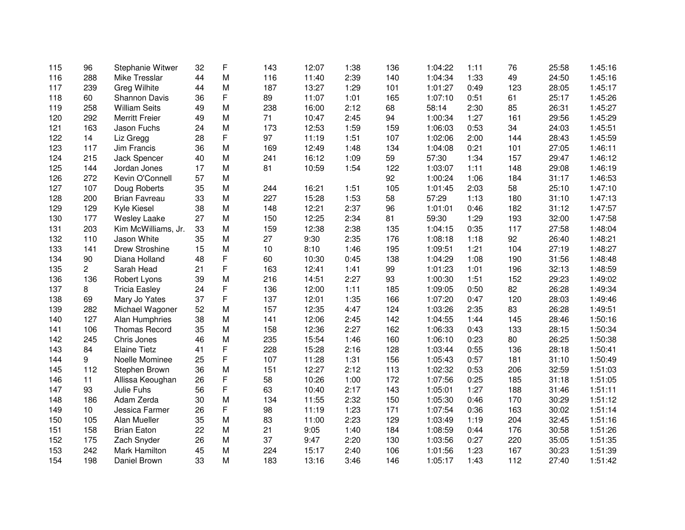| 115 | 96                    | Stephanie Witwer      | 32 | F | 143 | 12:07 | 1:38 | 136 | 1:04:22 | 1:11 | 76  | 25:58 | 1:45:16 |
|-----|-----------------------|-----------------------|----|---|-----|-------|------|-----|---------|------|-----|-------|---------|
| 116 | 288                   | <b>Mike Tresslar</b>  | 44 | M | 116 | 11:40 | 2:39 | 140 | 1:04:34 | 1:33 | 49  | 24:50 | 1:45:16 |
| 117 | 239                   | <b>Greg Wilhite</b>   | 44 | M | 187 | 13:27 | 1:29 | 101 | 1:01:27 | 0:49 | 123 | 28:05 | 1:45:17 |
| 118 | 60                    | Shannon Davis         | 36 | F | 89  | 11:07 | 1:01 | 165 | 1:07:10 | 0:51 | 61  | 25:17 | 1:45:26 |
| 119 | 258                   | <b>William Seits</b>  | 49 | M | 238 | 16:00 | 2:12 | 68  | 58:14   | 2:30 | 85  | 26:31 | 1:45:27 |
| 120 | 292                   | <b>Merritt Freier</b> | 49 | M | 71  | 10:47 | 2:45 | 94  | 1:00:34 | 1:27 | 161 | 29:56 | 1:45:29 |
| 121 | 163                   | Jason Fuchs           | 24 | M | 173 | 12:53 | 1:59 | 159 | 1:06:03 | 0:53 | 34  | 24:03 | 1:45:51 |
| 122 | 14                    | Liz Gregg             | 28 | F | 97  | 11:19 | 1:51 | 107 | 1:02:06 | 2:00 | 144 | 28:43 | 1:45:59 |
| 123 | 117                   | Jim Francis           | 36 | M | 169 | 12:49 | 1:48 | 134 | 1:04:08 | 0:21 | 101 | 27:05 | 1:46:11 |
| 124 | 215                   | Jack Spencer          | 40 | M | 241 | 16:12 | 1:09 | 59  | 57:30   | 1:34 | 157 | 29:47 | 1:46:12 |
| 125 | 144                   | Jordan Jones          | 17 | M | 81  | 10:59 | 1:54 | 122 | 1:03:07 | 1:11 | 148 | 29:08 | 1:46:19 |
| 126 | 272                   | Kevin O'Connell       | 57 | M |     |       |      | 92  | 1:00:24 | 1:06 | 184 | 31:17 | 1:46:53 |
| 127 | 107                   | Doug Roberts          | 35 | M | 244 | 16:21 | 1:51 | 105 | 1:01:45 | 2:03 | 58  | 25:10 | 1:47:10 |
| 128 | 200                   | <b>Brian Favreau</b>  | 33 | M | 227 | 15:28 | 1:53 | 58  | 57:29   | 1:13 | 180 | 31:10 | 1:47:13 |
| 129 | 129                   | Kyle Kiesel           | 38 | M | 148 | 12:21 | 2:37 | 96  | 1:01:01 | 0:46 | 182 | 31:12 | 1:47:57 |
| 130 | 177                   | <b>Wesley Laake</b>   | 27 | M | 150 | 12:25 | 2:34 | 81  | 59:30   | 1:29 | 193 | 32:00 | 1:47:58 |
| 131 | 203                   | Kim McWilliams, Jr.   | 33 | M | 159 | 12:38 | 2:38 | 135 | 1:04:15 | 0:35 | 117 | 27:58 | 1:48:04 |
| 132 | 110                   | Jason White           | 35 | M | 27  | 9:30  | 2:35 | 176 | 1:08:18 | 1:18 | 92  | 26:40 | 1:48:21 |
| 133 | 141                   | Drew Stroshine        | 15 | M | 10  | 8:10  | 1:46 | 195 | 1:09:51 | 1:21 | 104 | 27:19 | 1:48:27 |
| 134 | 90                    | Diana Holland         | 48 | F | 60  | 10:30 | 0:45 | 138 | 1:04:29 | 1:08 | 190 | 31:56 | 1:48:48 |
| 135 | $\mathbf{2}^{\prime}$ | Sarah Head            | 21 | F | 163 | 12:41 | 1:41 | 99  | 1:01:23 | 1:01 | 196 | 32:13 | 1:48:59 |
| 136 | 136                   | Robert Lyons          | 39 | M | 216 | 14:51 | 2:27 | 93  | 1:00:30 | 1:51 | 152 | 29:23 | 1:49:02 |
| 137 | 8                     | <b>Tricia Easley</b>  | 24 | F | 136 | 12:00 | 1:11 | 185 | 1:09:05 | 0:50 | 82  | 26:28 | 1:49:34 |
| 138 | 69                    | Mary Jo Yates         | 37 | F | 137 | 12:01 | 1:35 | 166 | 1:07:20 | 0:47 | 120 | 28:03 | 1:49:46 |
| 139 | 282                   | Michael Wagoner       | 52 | M | 157 | 12:35 | 4:47 | 124 | 1:03:26 | 2:35 | 83  | 26:28 | 1:49:51 |
| 140 | 127                   | Alan Humphries        | 38 | M | 141 | 12:06 | 2:45 | 142 | 1:04:55 | 1:44 | 145 | 28:46 | 1:50:16 |
| 141 | 106                   | <b>Thomas Record</b>  | 35 | M | 158 | 12:36 | 2:27 | 162 | 1:06:33 | 0:43 | 133 | 28:15 | 1:50:34 |
| 142 | 245                   | Chris Jones           | 46 | M | 235 | 15:54 | 1:46 | 160 | 1:06:10 | 0:23 | 80  | 26:25 | 1:50:38 |
| 143 | 84                    | <b>Elaine Tietz</b>   | 41 | F | 228 | 15:28 | 2:16 | 128 | 1:03:44 | 0:55 | 136 | 28:18 | 1:50:41 |
| 144 | 9                     | Noelle Mominee        | 25 | F | 107 | 11:28 | 1:31 | 156 | 1:05:43 | 0:57 | 181 | 31:10 | 1:50:49 |
| 145 | 112                   | Stephen Brown         | 36 | M | 151 | 12:27 | 2:12 | 113 | 1:02:32 | 0:53 | 206 | 32:59 | 1:51:03 |
| 146 | 11                    | Allissa Keoughan      | 26 | F | 58  | 10:26 | 1:00 | 172 | 1:07:56 | 0:25 | 185 | 31:18 | 1:51:05 |
| 147 | 93                    | Julie Fuhs            | 56 | F | 63  | 10:40 | 2:17 | 143 | 1:05:01 | 1:27 | 188 | 31:46 | 1:51:11 |
| 148 | 186                   | Adam Zerda            | 30 | M | 134 | 11:55 | 2:32 | 150 | 1:05:30 | 0:46 | 170 | 30:29 | 1:51:12 |
| 149 | 10                    | Jessica Farmer        | 26 | F | 98  | 11:19 | 1:23 | 171 | 1:07:54 | 0:36 | 163 | 30:02 | 1:51:14 |
| 150 | 105                   | Alan Mueller          | 35 | M | 83  | 11:00 | 2:23 | 129 | 1:03:49 | 1:19 | 204 | 32:45 | 1:51:16 |
| 151 | 158                   | <b>Brian Eaton</b>    | 22 | M | 21  | 9:05  | 1:40 | 184 | 1:08:59 | 0:44 | 176 | 30:58 | 1:51:26 |
| 152 | 175                   | Zach Snyder           | 26 | M | 37  | 9:47  | 2:20 | 130 | 1:03:56 | 0:27 | 220 | 35:05 | 1:51:35 |
| 153 | 242                   | Mark Hamilton         | 45 | M | 224 | 15:17 | 2:40 | 106 | 1:01:56 | 1:23 | 167 | 30:23 | 1:51:39 |
| 154 | 198                   | Daniel Brown          | 33 | M | 183 | 13:16 | 3:46 | 146 | 1:05:17 | 1:43 | 112 | 27:40 | 1:51:42 |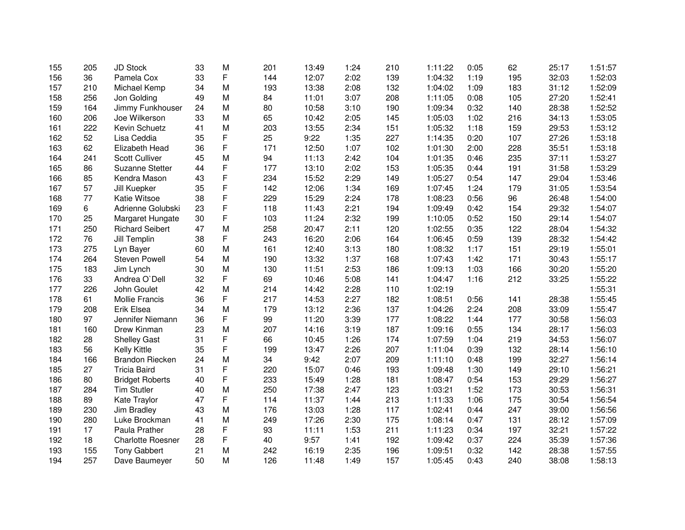| 155 | 205 | <b>JD Stock</b>          | 33 | M | 201 | 13:49 | 1:24 | 210 | 1:11:22 | 0:05 | 62  | 25:17 | 1:51:57 |
|-----|-----|--------------------------|----|---|-----|-------|------|-----|---------|------|-----|-------|---------|
| 156 | 36  | Pamela Cox               | 33 | F | 144 | 12:07 | 2:02 | 139 | 1:04:32 | 1:19 | 195 | 32:03 | 1:52:03 |
| 157 | 210 | Michael Kemp             | 34 | M | 193 | 13:38 | 2:08 | 132 | 1:04:02 | 1:09 | 183 | 31:12 | 1:52:09 |
| 158 | 256 | Jon Golding              | 49 | M | 84  | 11:01 | 3:07 | 208 | 1:11:05 | 0:08 | 105 | 27:20 | 1:52:41 |
| 159 | 164 | Jimmy Funkhouser         | 24 | M | 80  | 10:58 | 3:10 | 190 | 1:09:34 | 0:32 | 140 | 28:38 | 1:52:52 |
| 160 | 206 | Joe Wilkerson            | 33 | M | 65  | 10:42 | 2:05 | 145 | 1:05:03 | 1:02 | 216 | 34:13 | 1:53:05 |
| 161 | 222 | Kevin Schuetz            | 41 | M | 203 | 13:55 | 2:34 | 151 | 1:05:32 | 1:18 | 159 | 29:53 | 1:53:12 |
| 162 | 52  | Lisa Ceddia              | 35 | F | 25  | 9:22  | 1:35 | 227 | 1:14:35 | 0:20 | 107 | 27:26 | 1:53:18 |
| 163 | 62  | Elizabeth Head           | 36 | F | 171 | 12:50 | 1:07 | 102 | 1:01:30 | 2:00 | 228 | 35:51 | 1:53:18 |
| 164 | 241 | <b>Scott Culliver</b>    | 45 | M | 94  | 11:13 | 2:42 | 104 | 1:01:35 | 0:46 | 235 | 37:11 | 1:53:27 |
| 165 | 86  | Suzanne Stetter          | 44 | F | 177 | 13:10 | 2:02 | 153 | 1:05:35 | 0:44 | 191 | 31:58 | 1:53:29 |
| 166 | 85  | Kendra Mason             | 43 | F | 234 | 15:52 | 2:29 | 149 | 1:05:27 | 0:54 | 147 | 29:04 | 1:53:46 |
| 167 | 57  | Jill Kuepker             | 35 | F | 142 | 12:06 | 1:34 | 169 | 1:07:45 | 1:24 | 179 | 31:05 | 1:53:54 |
| 168 | 77  | Katie Witsoe             | 38 | F | 229 | 15:29 | 2:24 | 178 | 1:08:23 | 0:56 | 96  | 26:48 | 1:54:00 |
| 169 | 6   | Adrienne Golubski        | 23 | F | 118 | 11:43 | 2:21 | 194 | 1:09:49 | 0:42 | 154 | 29:32 | 1:54:07 |
| 170 | 25  | Margaret Hungate         | 30 | F | 103 | 11:24 | 2:32 | 199 | 1:10:05 | 0:52 | 150 | 29:14 | 1:54:07 |
| 171 | 250 | <b>Richard Seibert</b>   | 47 | M | 258 | 20:47 | 2:11 | 120 | 1:02:55 | 0:35 | 122 | 28:04 | 1:54:32 |
| 172 | 76  | Jill Templin             | 38 | F | 243 | 16:20 | 2:06 | 164 | 1:06:45 | 0:59 | 139 | 28:32 | 1:54:42 |
| 173 | 275 | Lyn Bayer                | 60 | M | 161 | 12:40 | 3:13 | 180 | 1:08:32 | 1:17 | 151 | 29:19 | 1:55:01 |
| 174 | 264 | <b>Steven Powell</b>     | 54 | M | 190 | 13:32 | 1:37 | 168 | 1:07:43 | 1:42 | 171 | 30:43 | 1:55:17 |
| 175 | 183 | Jim Lynch                | 30 | M | 130 | 11:51 | 2:53 | 186 | 1:09:13 | 1:03 | 166 | 30:20 | 1:55:20 |
| 176 | 33  | Andrea O'Dell            | 32 | F | 69  | 10:46 | 5:08 | 141 | 1:04:47 | 1:16 | 212 | 33:25 | 1:55:22 |
| 177 | 226 | John Goulet              | 42 | M | 214 | 14:42 | 2:28 | 110 | 1:02:19 |      |     |       | 1:55:31 |
| 178 | 61  | Mollie Francis           | 36 | F | 217 | 14:53 | 2:27 | 182 | 1:08:51 | 0:56 | 141 | 28:38 | 1:55:45 |
| 179 | 208 | Erik Elsea               | 34 | M | 179 | 13:12 | 2:36 | 137 | 1:04:26 | 2:24 | 208 | 33:09 | 1:55:47 |
| 180 | 97  | Jennifer Niemann         | 36 | F | 99  | 11:20 | 3:39 | 177 | 1:08:22 | 1:44 | 177 | 30:58 | 1:56:03 |
| 181 | 160 | Drew Kinman              | 23 | M | 207 | 14:16 | 3:19 | 187 | 1:09:16 | 0:55 | 134 | 28:17 | 1:56:03 |
| 182 | 28  | <b>Shelley Gast</b>      | 31 | F | 66  | 10:45 | 1:26 | 174 | 1:07:59 | 1:04 | 219 | 34:53 | 1:56:07 |
| 183 | 56  | Kelly Kittle             | 35 | F | 199 | 13:47 | 2:26 | 207 | 1:11:04 | 0:39 | 132 | 28:14 | 1:56:10 |
| 184 | 166 | Brandon Riecken          | 24 | M | 34  | 9:42  | 2:07 | 209 | 1:11:10 | 0:48 | 199 | 32:27 | 1:56:14 |
| 185 | 27  | <b>Tricia Baird</b>      | 31 | F | 220 | 15:07 | 0:46 | 193 | 1:09:48 | 1:30 | 149 | 29:10 | 1:56:21 |
| 186 | 80  | <b>Bridget Roberts</b>   | 40 | F | 233 | 15:49 | 1:28 | 181 | 1:08:47 | 0:54 | 153 | 29:29 | 1:56:27 |
| 187 | 284 | <b>Tim Stutler</b>       | 40 | M | 250 | 17:38 | 2:47 | 123 | 1:03:21 | 1:52 | 173 | 30:53 | 1:56:31 |
| 188 | 89  | Kate Traylor             | 47 | F | 114 | 11:37 | 1:44 | 213 | 1:11:33 | 1:06 | 175 | 30:54 | 1:56:54 |
| 189 | 230 | Jim Bradley              | 43 | M | 176 | 13:03 | 1:28 | 117 | 1:02:41 | 0:44 | 247 | 39:00 | 1:56:56 |
| 190 | 280 | Luke Brockman            | 41 | M | 249 | 17:26 | 2:30 | 175 | 1:08:14 | 0:47 | 131 | 28:12 | 1:57:09 |
| 191 | 17  | Paula Prather            | 28 | F | 93  | 11:11 | 1:53 | 211 | 1:11:23 | 0:34 | 197 | 32:21 | 1:57:22 |
| 192 | 18  | <b>Charlotte Roesner</b> | 28 | F | 40  | 9:57  | 1:41 | 192 | 1:09:42 | 0:37 | 224 | 35:39 | 1:57:36 |
| 193 | 155 | <b>Tony Gabbert</b>      | 21 | M | 242 | 16:19 | 2:35 | 196 | 1:09:51 | 0:32 | 142 | 28:38 | 1:57:55 |
| 194 | 257 | Dave Baumeyer            | 50 | M | 126 | 11:48 | 1:49 | 157 | 1:05:45 | 0:43 | 240 | 38:08 | 1:58:13 |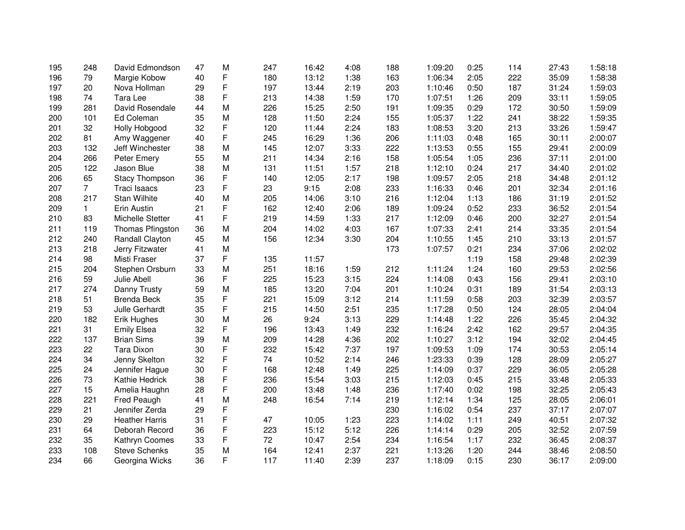| 195 | 248             | David Edmondson       | 47 | M | 247 | 16:42 | 4:08 | 188 | 1:09:20 | 0:25 | 114 | 27:43 | 1:58:18 |
|-----|-----------------|-----------------------|----|---|-----|-------|------|-----|---------|------|-----|-------|---------|
| 196 | 79              | Margie Kobow          | 40 | F | 180 | 13:12 | 1:38 | 163 | 1:06:34 | 2:05 | 222 | 35:09 | 1:58:38 |
| 197 | 20              | Nova Hollman          | 29 | F | 197 | 13:44 | 2:19 | 203 | 1:10:46 | 0:50 | 187 | 31:24 | 1:59:03 |
| 198 | 74              | Tara Lee              | 38 | F | 213 | 14:38 | 1:59 | 170 | 1:07:51 | 1:26 | 209 | 33:11 | 1:59:05 |
| 199 | 281             | David Rosendale       | 44 | M | 226 | 15:25 | 2:50 | 191 | 1:09:35 | 0:29 | 172 | 30:50 | 1:59:09 |
| 200 | 101             | Ed Coleman            | 35 | M | 128 | 11:50 | 2:24 | 155 | 1:05:37 | 1:22 | 241 | 38:22 | 1:59:35 |
| 201 | 32              | Holly Hobgood         | 32 | F | 120 | 11:44 | 2:24 | 183 | 1:08:53 | 3:20 | 213 | 33:26 | 1:59:47 |
| 202 | 81              | Amy Waggener          | 40 | F | 245 | 16:29 | 1:36 | 206 | 1:11:03 | 0:48 | 165 | 30:11 | 2:00:07 |
| 203 | 132             | Jeff Winchester       | 38 | M | 145 | 12:07 | 3:33 | 222 | 1:13:53 | 0:55 | 155 | 29:41 | 2:00:09 |
| 204 | 266             | Peter Emery           | 55 | M | 211 | 14:34 | 2:16 | 158 | 1:05:54 | 1:05 | 236 | 37:11 | 2:01:00 |
| 205 | 122             | Jason Blue            | 38 | M | 131 | 11:51 | 1:57 | 218 | 1:12:10 | 0:24 | 217 | 34:40 | 2:01:02 |
| 206 | 65              | <b>Stacy Thompson</b> | 36 | F | 140 | 12:05 | 2:17 | 198 | 1:09:57 | 2:05 | 218 | 34:48 | 2:01:12 |
| 207 | $7\overline{ }$ | <b>Traci Isaacs</b>   | 23 | F | 23  | 9:15  | 2:08 | 233 | 1:16:33 | 0:46 | 201 | 32:34 | 2:01:16 |
| 208 | 217             | <b>Stan Wilhite</b>   | 40 | M | 205 | 14:06 | 3:10 | 216 | 1:12:04 | 1:13 | 186 | 31:19 | 2:01:52 |
| 209 | $\mathbf{1}$    | Erin Austin           | 21 | F | 162 | 12:40 | 2:06 | 189 | 1:09:24 | 0:52 | 233 | 36:52 | 2:01:54 |
| 210 | 83              | Michelle Stetter      | 41 | F | 219 | 14:59 | 1:33 | 217 | 1:12:09 | 0:46 | 200 | 32:27 | 2:01:54 |
| 211 | 119             | Thomas Pfingston      | 36 | M | 204 | 14:02 | 4:03 | 167 | 1:07:33 | 2:41 | 214 | 33:35 | 2:01:54 |
| 212 | 240             | Randall Clayton       | 45 | M | 156 | 12:34 | 3:30 | 204 | 1:10:55 | 1:45 | 210 | 33:13 | 2:01:57 |
| 213 | 218             | Jerry Fitzwater       | 41 | М |     |       |      | 173 | 1:07:57 | 0:21 | 234 | 37:06 | 2:02:02 |
| 214 | 98              | Misti Fraser          | 37 | F | 135 | 11:57 |      |     |         | 1:19 | 158 | 29:48 | 2:02:39 |
| 215 | 204             | Stephen Orsburn       | 33 | M | 251 | 18:16 | 1:59 | 212 | 1:11:24 | 1:24 | 160 | 29:53 | 2:02:56 |
| 216 | 59              | Julie Abell           | 36 | F | 225 | 15:23 | 3:15 | 224 | 1:14:08 | 0:43 | 156 | 29:41 | 2:03:10 |
| 217 | 274             | Danny Trusty          | 59 | M | 185 | 13:20 | 7:04 | 201 | 1:10:24 | 0:31 | 189 | 31:54 | 2:03:13 |
| 218 | 51              | <b>Brenda Beck</b>    | 35 | F | 221 | 15:09 | 3:12 | 214 | 1:11:59 | 0:58 | 203 | 32:39 | 2:03:57 |
| 219 | 53              | Julle Gerhardt        | 35 | F | 215 | 14:50 | 2:51 | 235 | 1:17:28 | 0:50 | 124 | 28:05 | 2:04:04 |
| 220 | 182             | Erik Hughes           | 30 | M | 26  | 9:24  | 3:13 | 229 | 1:14:48 | 1:22 | 226 | 35:45 | 2:04:32 |
| 221 | 31              | <b>Emily Elsea</b>    | 32 | F | 196 | 13:43 | 1:49 | 232 | 1:16:24 | 2:42 | 162 | 29:57 | 2:04:35 |
| 222 | 137             | <b>Brian Sims</b>     | 39 | M | 209 | 14:28 | 4:36 | 202 | 1:10:27 | 3:12 | 194 | 32:02 | 2:04:45 |
| 223 | 22              | <b>Tara Dixon</b>     | 30 | F | 232 | 15:42 | 7:37 | 197 | 1:09:53 | 1:09 | 174 | 30:53 | 2:05:14 |
| 224 | 34              | Jenny Skelton         | 32 | F | 74  | 10:52 | 2:14 | 246 | 1:23:33 | 0:39 | 128 | 28:09 | 2:05:27 |
| 225 | 24              | Jennifer Hague        | 30 | F | 168 | 12:48 | 1:49 | 225 | 1:14:09 | 0:37 | 229 | 36:05 | 2:05:28 |
| 226 | 73              | Kathie Hedrick        | 38 | F | 236 | 15:54 | 3:03 | 215 | 1:12:03 | 0:45 | 215 | 33:48 | 2:05:33 |
| 227 | 15              | Amelia Haughn         | 28 | F | 200 | 13:48 | 1:48 | 236 | 1:17:40 | 0:02 | 198 | 32:25 | 2:05:43 |
| 228 | 221             | Fred Peaugh           | 41 | M | 248 | 16:54 | 7:14 | 219 | 1:12:14 | 1:34 | 125 | 28:05 | 2:06:01 |
| 229 | 21              | Jennifer Zerda        | 29 | F |     |       |      | 230 | 1:16:02 | 0:54 | 237 | 37:17 | 2:07:07 |
| 230 | 29              | <b>Heather Harris</b> | 31 | F | 47  | 10:05 | 1:23 | 223 | 1:14:02 | 1:11 | 249 | 40:51 | 2:07:32 |
| 231 | 64              | Deborah Record        | 36 | F | 223 | 15:12 | 5:12 | 226 | 1:14:14 | 0:29 | 205 | 32:52 | 2:07:59 |
| 232 | 35              | Kathryn Coomes        | 33 | F | 72  | 10:47 | 2:54 | 234 | 1:16:54 | 1:17 | 232 | 36:45 | 2:08:37 |
| 233 | 108             | <b>Steve Schenks</b>  | 35 | M | 164 | 12:41 | 2:37 | 221 | 1:13:26 | 1:20 | 244 | 38:46 | 2:08:50 |
| 234 | 66              | Georgina Wicks        | 36 | F | 117 | 11:40 | 2:39 | 237 | 1:18:09 | 0:15 | 230 | 36:17 | 2:09:00 |